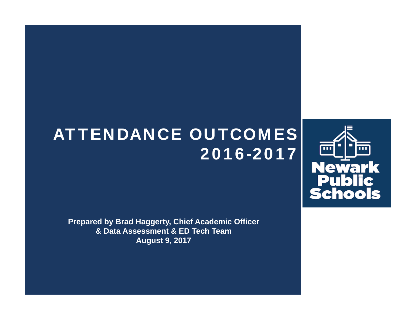# ATTENDANCE OUTCOMES 2016-2017



**Prepared by Brad Haggerty, Chief Academic Officer & Data Assessment & ED Tech Team August 9, 2017**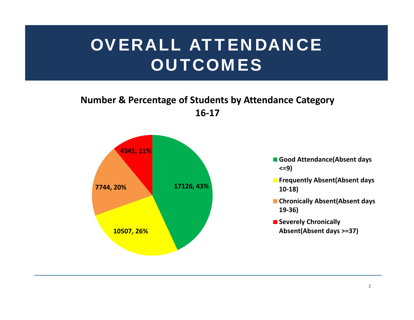# OVERALL ATTENDANCE **OUTCOMES**

### **Number & Percentage of Students by Attendance Category 16‐17**



- **Good Attendance(Absent days <=9)**
- **Frequently Absent(Absent days 10‐18)**
- **Chronically Absent(Absent days 19‐36)**
- **E** Severely Chronically **Absent(Absent days >=37)**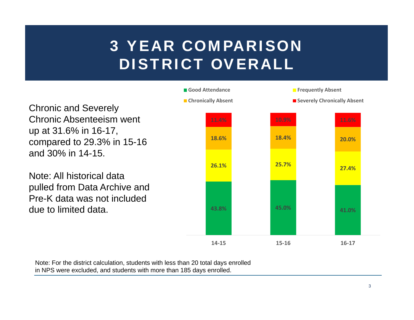## 3 YEAR COMPARISON DISTRICT OVERALL



Note: For the district calculation, students with less than 20 total days enrolled in NPS were excluded, and students with more than 185 days enrolled.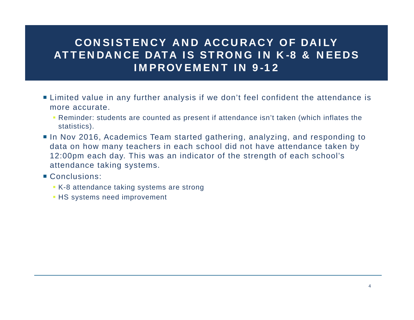### CONSISTENCY AND ACCURACY OF DAILY ATTENDANCE DATA IS STRONG IN K-8 & NEEDS IMPROVEMENT IN 9-12

- Limited value in any further analysis if we don't feel confident the attendance is more accurate.
	- Reminder: students are counted as present if attendance isn't taken (which inflates the statistics).
- In Nov 2016, Academics Team started gathering, analyzing, and responding to data on how many teachers in each school did not have attendance taken by 12:00pm each day. This was an indicator of the strength of each school's attendance taking systems.
- Conclusions:
	- K-8 attendance taking systems are strong
	- HS systems need improvement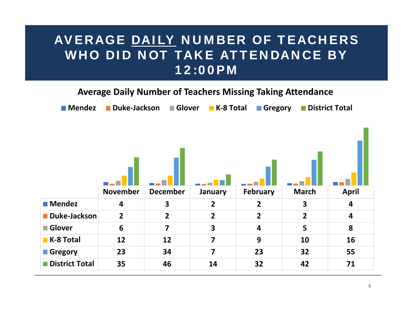## AVERAGE DAILY NUMBER OF TEACHERS WHO DID NOT TAKE ATTENDANCE BY 12:00PM

#### **Average Daily Number of Teachers Missing Taking Attendance**

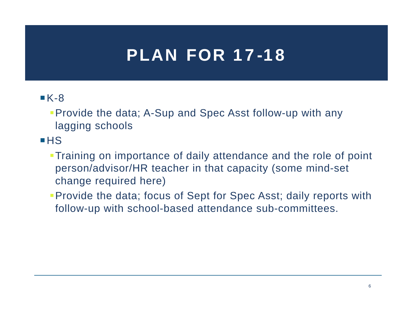## PLAN FOR 17-18

### $K-8$

Provide the data; A-Sup and Spec Asst follow-up with any lagging schools

 $HSS$ 

- Training on importance of daily attendance and the role of point person/advisor/HR teacher in that capacity (some mind-set change required here)
- **Provide the data; focus of Sept for Spec Asst; daily reports with** follow-up with school-based attendance sub-committees.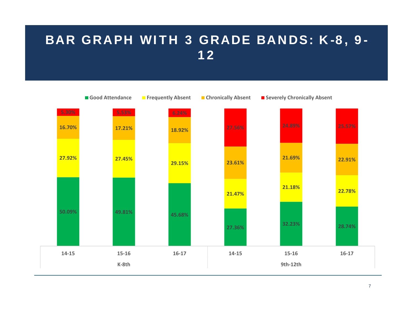## BAR GRAPH WITH 3 GRADE BANDS: K-8, 9- 12

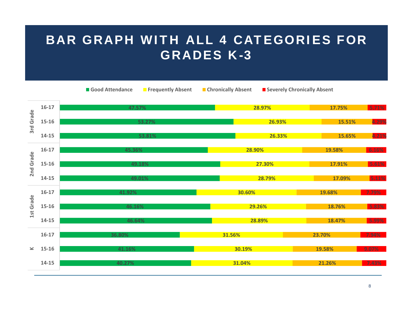## BAR GRAPH WITH ALL 4 CATEGORIES FOR GRADES K-3

Good Attendance

**Attendance Frequently Absent Chronically Absent Severely Chronically Absent**

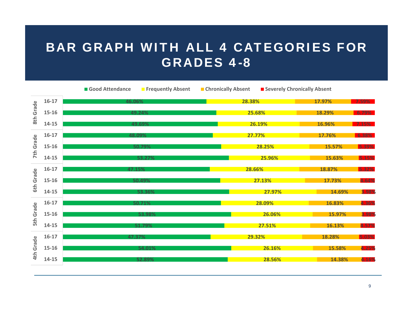## BAR GRAPH WITH ALL 4 CATEGORIES FOR GRADES 4-8

|                     |           | Good Attendance | <b>Finder Finder Service Service Service Service Service Service Service Service Service Service Service Service S</b> | <b>Chronically Absent</b> | Severely Chronically Absent |          |       |
|---------------------|-----------|-----------------|------------------------------------------------------------------------------------------------------------------------|---------------------------|-----------------------------|----------|-------|
| Grade<br>8th        | $16-17$   | 46.06%          |                                                                                                                        | 28.38%                    | 17.97%                      | $7.59\%$ |       |
|                     | $15 - 16$ |                 | 49.24%                                                                                                                 | 25.68%                    | 18.29%<br>6.79%             |          |       |
|                     | $14 - 15$ |                 | 49.69%                                                                                                                 | 26.19%                    | 16.96%                      | 7.15%    |       |
|                     | $16-17$   |                 | 48.09%                                                                                                                 |                           | 27.77%                      |          |       |
| Grade<br><b>7th</b> | 15-16     |                 | 50.79%                                                                                                                 |                           | 28.25%                      |          |       |
|                     | $14 - 15$ |                 | 53.27%                                                                                                                 |                           | 25.96%                      | 15.63%   | 5.15% |
|                     | $16-17$   | 47.15%          |                                                                                                                        | 28.66%                    |                             | 18.87%   | 5.32% |
| Grade<br>Gth        | 15-16     |                 | 50.49%                                                                                                                 |                           | 27.13%                      | 17.73%   | 4.64% |
|                     | 14-15     |                 | 53.36%                                                                                                                 |                           | 27.97%                      | 14.69%   | 3.98% |
| Grade<br><b>Sth</b> | $16-17$   |                 | 50.71%                                                                                                                 |                           | 28.09%                      | 16.83%   | 4.36% |
|                     | 15-16     |                 | 53.98%                                                                                                                 |                           | 26.06%                      | 15.97%   | 3.98% |
|                     | $14 - 15$ |                 | 51.79%                                                                                                                 |                           | 27.51%                      | 16.13%   | 4.57% |
| Grade<br>4th        | $16-17$   | 47.37%          |                                                                                                                        |                           | 29.32%                      | 18.28%   | 5.03% |
|                     | $15 - 16$ |                 | 54.01%                                                                                                                 |                           | 26.16%                      | 15.58%   | 4.25% |
|                     | 14-15     |                 | 52.89%                                                                                                                 |                           | 28.56%                      | 14.38%   | 4.16% |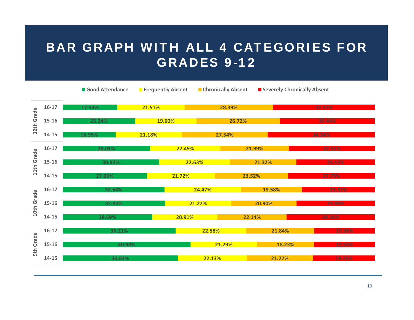## BAR GRAPH WITH ALL 4 CATEGORIES FOR GRADES 9-12

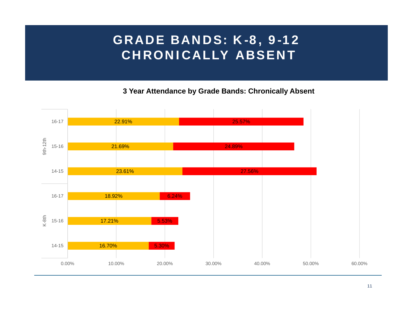## GRADE BANDS: K-8, 9-12 CHRONICALLY ABSENT

**3 Year Attendance by Grade Bands: Chronically Absent**

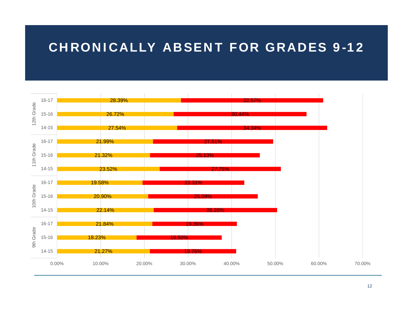## CHRONICALLY ABSENT FOR GRADES 9-12

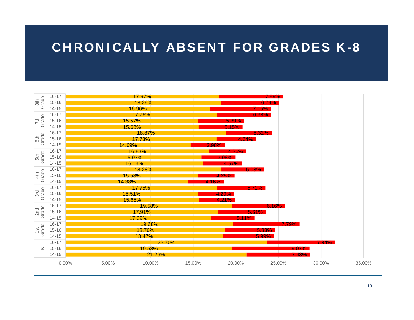### CHRONICALLY ABSENT FOR GRADES K-8

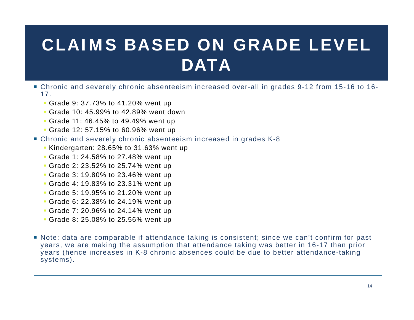# CLAIMS BASED ON GRADE LEVEL **DATA**

- Chronic and severely chronic absenteeism increased over-all in grades 9-12 from 15-16 to 16- 17.
	- Grade 9: 37.73% to 41.20% went up
	- Grade 10: 45.99% to 42.89% went down
	- Grade 11: 46.45% to 49.49% went up
	- Grade 12: 57.15% to 60.96% went up
- Chronic and severely chronic absenteeism increased in grades K-8
	- Kindergarten: 28.65% to 31.63% went up
	- Grade 1: 24.58% to 27.48% went up
	- Grade 2: 23.52% to 25.74% went up
	- Grade 3: 19.80% to 23.46% went up
	- Grade 4: 19.83% to 23.31% went up
	- Grade 5: 19.95% to 21.20% went up
	- Grade 6: 22.38% to 24.19% went up
	- Grade 7: 20.96% to 24.14% went up
	- Grade 8: 25.08% to 25.56% went up
- Note: data are comparable if attendance taking is consistent; since we can't confirm for past years, we are making the assumption that attendance taking was better in 16-17 than prior years (hence increases in K-8 chronic absences could be due to better attendance-taking systems).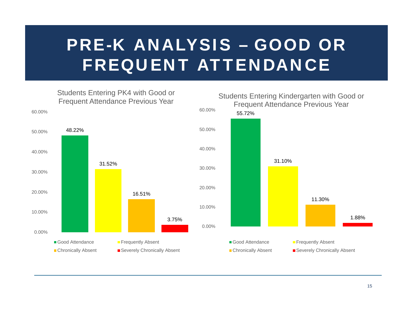# PRE-K ANALYSIS – GOOD OR FREQUENT ATTENDANCE

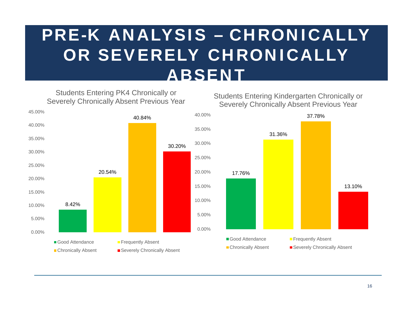# PRE-K ANALYSIS – CHRONICALLY OR SEVERELY CHRONICALLY ABSENT

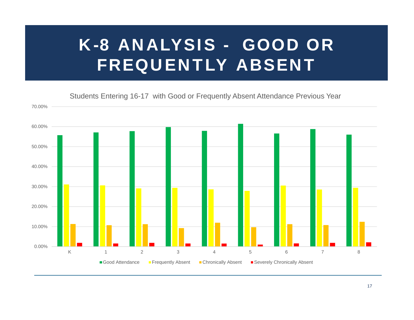# K-8 ANALYSIS - GOOD OR FREQUENTLY ABSENT

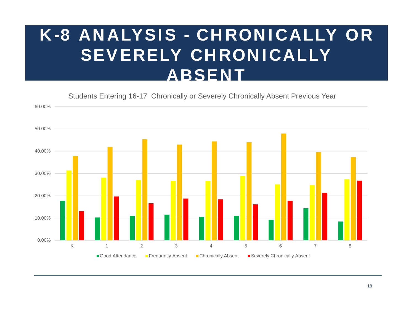# K-8 ANALYSIS - CHRONICALLY OR SEVERELY CHRONICALLY ABSENT

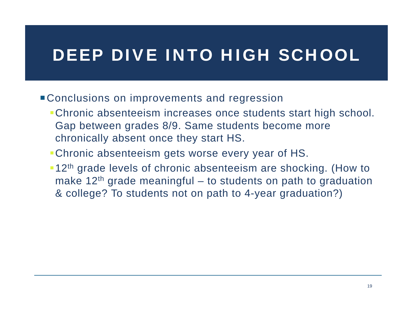## DEEP DIVE INTO HIGH SCHOOL

- **Conclusions on improvements and regression** 
	- Chronic absenteeism increases once students start high school. Gap between grades 8/9. Same students become more chronically absent once they start HS.
	- Chronic absenteeism gets worse every year of HS.
	- **-12<sup>th</sup>** grade levels of chronic absenteeism are shocking. (How to make  $12<sup>th</sup>$  grade meaningful – to students on path to graduation & college? To students not on path to 4-year graduation?)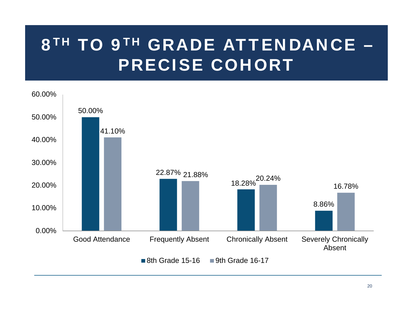# 8TH TO 9TH GRADE ATTENDANCE – PRECISE COHORT

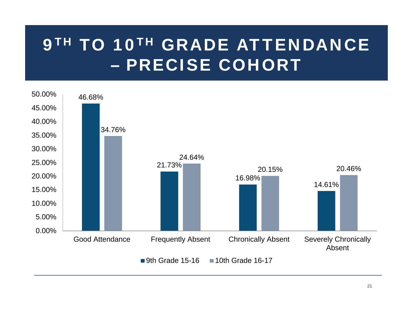# 9TH TO 10TH GRADE ATTENDANCE – PRECISE COHORT

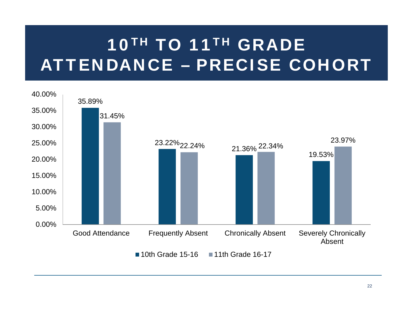# 10TH TO 11TH GRADE ATTENDANCE – PRECISE COHORT

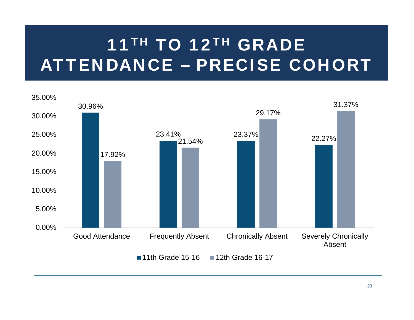# 11<sup>TH</sup> TO 12<sup>TH</sup> GRADE ATTENDANCE – PRECISE COHORT

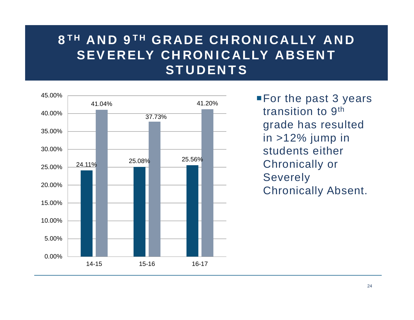## 8<sup>TH</sup> AND 9<sup>TH</sup> GRADE CHRONICALLY AND SEVERELY CHRONICALLY ABSENT **STUDENTS**



**For the past 3 years** transition to 9th grade has resulted in >12% jump in students either Chronically or Severely Chronically Absent.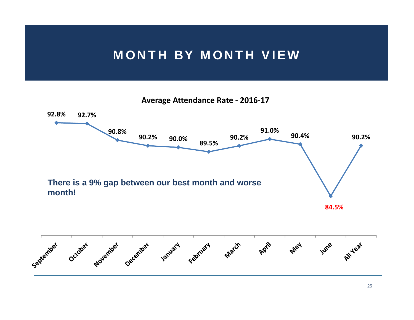### MONTH BY MONTH VIEW

**Average Attendance Rate ‐ 2016‐17**

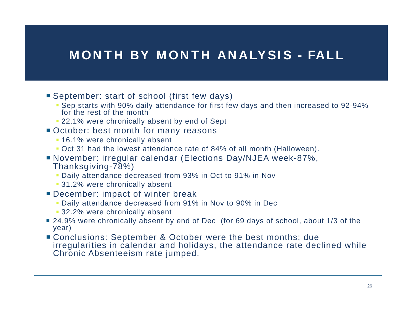## MONTH BY MONTH ANALYSIS - FALL

- September: start of school (first few days)
	- Sep starts with 90% daily attendance for first few days and then increased to 92-94% for the rest of the month
	- 22.1% were chronically absent by end of Sept
- October: best month for many reasons
	- 16.1% were chronically absent
	- Oct 31 had the lowest attendance rate of 84% of all month (Halloween).
- November: irregular calendar (Elections Day/NJEA week-87%, Thanksgiving-78%)
	- Daily attendance decreased from 93% in Oct to 91% in Nov
	- 31.2% were chronically absent
- **December: impact of winter break** 
	- Daily attendance decreased from 91% in Nov to 90% in Dec
	- 32.2% were chronically absent
- 24.9% were chronically absent by end of Dec (for 69 days of school, about 1/3 of the year)
- Conclusions: September & October were the best months; due irregularities in calendar and holidays, the attendance rate declined while Chronic Absenteeism rate jumped.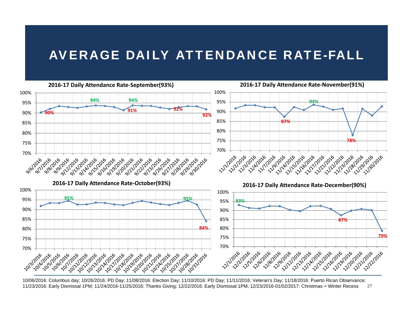## AVERAGE DAILY ATTENDANCE RATE-FALL



2710/06/2016: Columbus day; 10/26/2016: PD Day; 11/08/2016: Election Day; 11/10/2016: PD Day; 11/11/2016: Veteran's Day; 11/18/2016: Puerto Rican Observance; 11/23/2016: Early Dismissal 1PM; 11/24/2016-11/25/2016: Thanks Giving; 12/22/2016: Early Dismissal 1PM; 12/23/2016-01/02/2017: Christmas + Winter Recess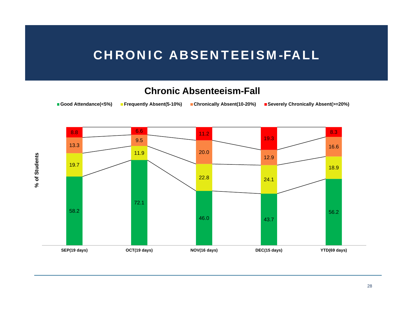### CHRONIC ABSENTEEISM-FALL

#### **Chronic Absenteeism-Fall**

**Good Attendance(<5%) Frequently Absent(5-10%) Chronically Absent(10-20%) Severely Chronically Absent(>=20%)**



% of Students **% of Students**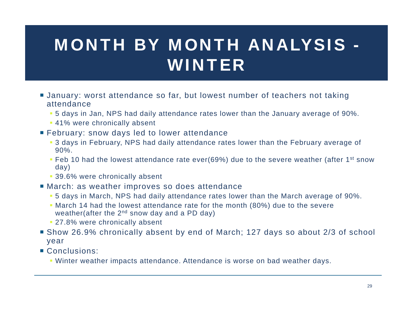# MONTH BY MONTH ANALYSIS -WINTER

- January: worst attendance so far, but lowest number of teachers not taking attendance
	- 5 days in Jan, NPS had daily attendance rates lower than the January average of 90%.
	- 41% were chronically absent
- **February: snow days led to lower attendance** 
	- 3 days in February, NPS had daily attendance rates lower than the February average of 90%.
	- Feb 10 had the lowest attendance rate ever(69%) due to the severe weather (after 1<sup>st</sup> snow day)
	- 39.6% were chronically absent
- March: as weather improves so does attendance
	- 5 days in March, NPS had daily attendance rates lower than the March average of 90%.
	- March 14 had the lowest attendance rate for the month (80%) due to the severe weather(after the  $2^{nd}$  snow day and a PD day)
	- 27.8% were chronically absent
- Show 26.9% chronically absent by end of March; 127 days so about 2/3 of school year
- Conclusions:
	- Winter weather impacts attendance. Attendance is worse on bad weather days.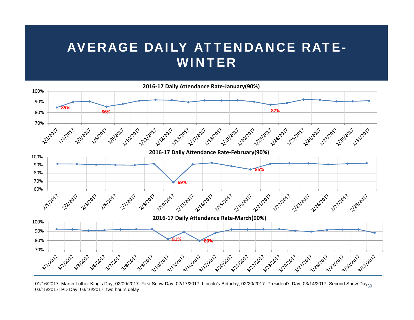## AVERAGE DAILY ATTENDANCE RATE-WINTER



<sup>01/16/2017:</sup> Martin Luther King's Day; 02/09/2017: First Snow Day; 02/17/2017: Lincoln's Birthday; 02/20/2017: President's Day; 03/14/2017: Second Snow Day<sub>30</sub> 03/15/2017: PD Day; 03/16/2017: two hours delay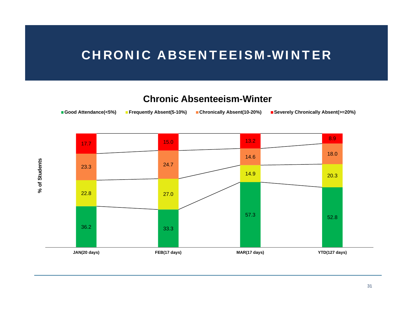## CHRONIC ABSENTEEISM-WINTER

#### **Chronic Absenteeism-Winter**



% of Students **% of Students**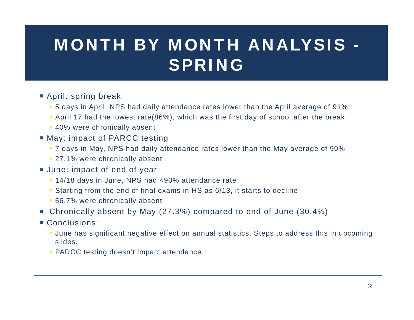# MONTH BY MONTH ANALYSIS -SPRING

- April: spring break
	- 5 days in April, NPS had daily attendance rates lower than the April average of 91%
	- April 17 had the lowest rate(86%), which was the first day of school after the break
	- 40% were chronically absent
- May: impact of PARCC testing
	- 7 days in May, NPS had daily attendance rates lower than the May average of 90%
	- 27.1% were chronically absent
- June: impact of end of year
	- 14/18 days in June, NPS had <90% attendance rate
	- Starting from the end of final exams in HS as 6/13, it starts to decline
	- 56.7% were chronically absent
- Chronically absent by May (27.3%) compared to end of June (30.4%)
- Conclusions:
	- June has significant negative effect on annual statistics. Steps to address this in upcoming slides.
	- PARCC testing doesn't impact attendance.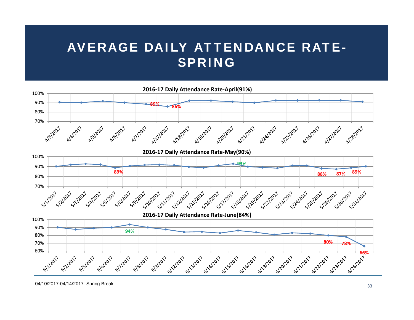## AVERAGE DAILY ATTENDANCE RATE-SPRING

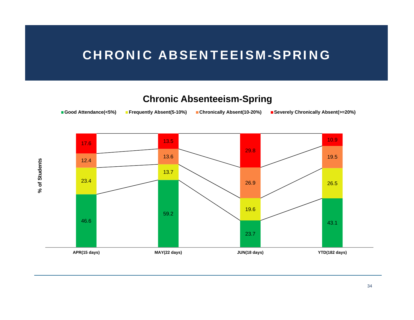## CHRONIC ABSENTEEISM-SPRING

### **Chronic Absenteeism-Spring**



% of Students **% of Students**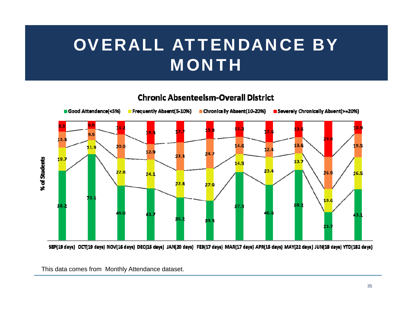# OVERALL ATTENDANCE BY MONTH

#### **Chronic Absenteeism-Overall District**



SEP(19 days) OCT(19 days) NOV(16 days) DEC(15 days) JAN(20 days) FEB(17 days) MAR(17 days) APR(15 days) MAY(22 days) JUN(18 days) YTD(182 days)

This data comes from Monthly Attendance dataset.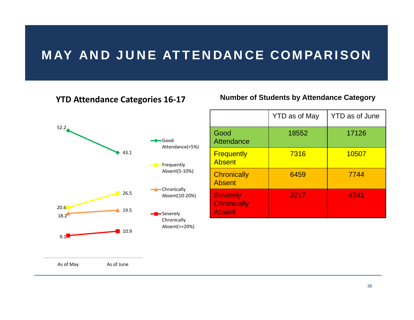## MAY AND JUNE ATTENDANCE COMPARISON

#### **YTD Attendance Categories 16‐17**



#### **Number of Students by Attendance Category**

|                                                        | <b>YTD as of May</b> | <b>YTD</b> as of June |
|--------------------------------------------------------|----------------------|-----------------------|
| Good<br>Attendance                                     | 18552                | 17126                 |
| <b>Frequently</b><br><b>Absent</b>                     | 7316                 | 10507                 |
| <b>Chronically</b><br><b>Absent</b>                    | 6459                 | 7744                  |
| <b>Severely</b><br><b>Chronically</b><br><b>Absent</b> | 3217                 | 4341                  |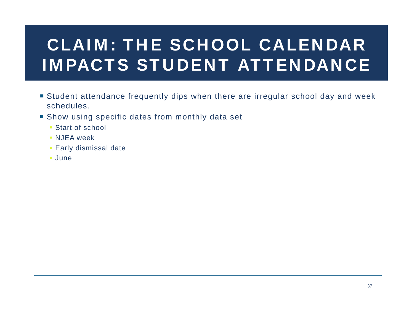# CLAIM: THE SCHOOL CALENDAR IMPACTS STUDENT ATTENDANCE

- Student attendance frequently dips when there are irregular school day and week schedules.
- Show using specific dates from monthly data set
	- Start of school
	- NJEA week
	- Early dismissal date
	- June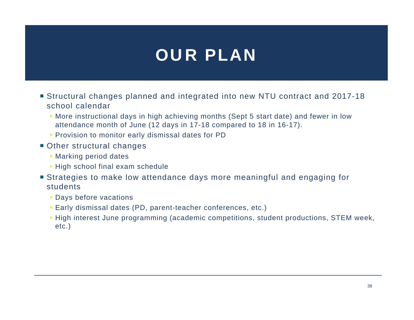## OUR PLAN

- Structural changes planned and integrated into new NTU contract and 2017-18 school calendar
	- More instructional days in high achieving months (Sept 5 start date) and fewer in low attendance month of June (12 days in 17-18 compared to 18 in 16-17).
	- **Provision to monitor early dismissal dates for PD**
- Other structural changes
	- Marking period dates
	- **High school final exam schedule**
- Strategies to make low attendance days more meaningful and engaging for students
	- Days before vacations
	- Early dismissal dates (PD, parent-teacher conferences, etc.)
	- **High interest June programming (academic competitions, student productions, STEM week,** etc.)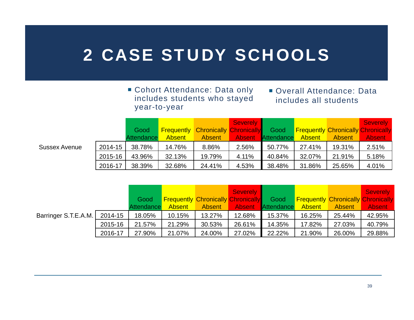## 2 CASE STUDY SCHOOLS

#### ■ Cohort Attendance: Data only includes students who stayed year-to-year

#### ■ Overall Attendance: Data includes all students

|                      |         |            |               |                                           | <b>Severely</b> |                   |               |               | <b>Severely</b>                           |
|----------------------|---------|------------|---------------|-------------------------------------------|-----------------|-------------------|---------------|---------------|-------------------------------------------|
|                      |         | Good       |               | <b>Frequently Chronically Chronically</b> |                 | Good              |               |               | <b>Frequently Chronically Chronically</b> |
|                      |         | Attendance | <b>Absent</b> | Absent                                    | <b>Absent</b>   | <b>Attendance</b> | <b>Absent</b> | <b>Absent</b> | <b>Absent</b>                             |
| <b>Sussex Avenue</b> | 2014-15 | 38.78%     | 14.76%        | 8.86%                                     | 2.56%           | 50.77%            | 27.41%        | 19.31%        | 2.51%                                     |
|                      | 2015-16 | 43.96%     | 32.13%        | 19.79%                                    | 4.11%           | 40.84%            | 32.07%        | 21.91%        | 5.18%                                     |
|                      | 2016-17 | 38.39%     | 32.68%        | 24.41%                                    | 4.53%           | 38.48%            | 31.86%        | 25.65%        | 4.01%                                     |

|                      |         |            |               |                                           | <b>Severely</b> |                   |               |                                           | <b>Severely</b> |
|----------------------|---------|------------|---------------|-------------------------------------------|-----------------|-------------------|---------------|-------------------------------------------|-----------------|
|                      |         | Good       |               | <b>Frequently Chronically Chronically</b> |                 | Good              |               | <b>Frequently Chronically Chronically</b> |                 |
|                      |         | Attendance | <b>Absent</b> | Absent                                    | <b>Absent</b>   | <b>Attendance</b> | <b>Absent</b> | <b>Absent</b>                             | <b>Absent</b>   |
| Barringer S.T.E.A.M. | 2014-15 | 18.05%     | 10.15%        | 13.27%                                    | 12.68%          | 15.37%            | 16.25%        | 25.44%                                    | 42.95%          |
|                      | 2015-16 | 21.57%     | 21.29%        | 30.53%                                    | 26.61%          | 14.35%            | 17.82%        | 27.03%                                    | 40.79%          |
|                      | 2016-17 | 27.90%     | 21.07%        | 24.00%                                    | 27.02%          | 22.22%            | 21.90%        | 26.00%                                    | 29.88%          |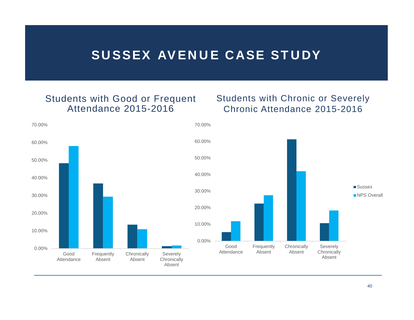### SUSSEX AVENUE CASE STUDY

#### Students with Good or Frequent Attendance 2015-2016

#### Students with Chronic or Severely Chronic Attendance 2015-2016

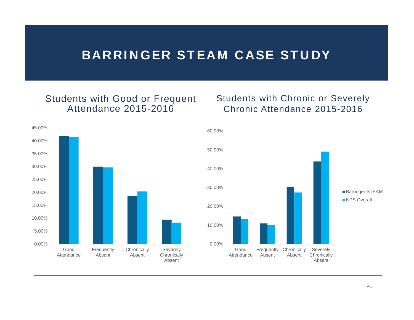### BARRINGER STEAM CASE STUDY

#### Students with Good or Frequent Attendance 2015-2016

#### Students with Chronic or Severely Chronic Attendance 2015-2016



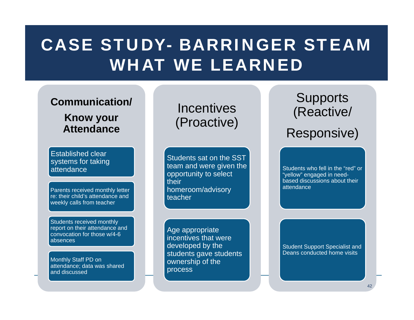## CASE STUDY- BARRINGER STEAMWHAT WE LEARNED

### **Communication/**

**Know your Attendance**

Established clear systems for taking **attendance** 

Parents received monthly letter re: their child's attendance and weekly calls from teacher

Students received monthly report on their attendance and convocation for those w/4-6 absences

Monthly Staff PD on attendance; data was shared and discussed

**Incentives** (Proactive)

Students sat on the SST team and were given the opportunity to select their homeroom/advisory teacher

Age appropriate incentives that were developed by the students gave students ownership of the process

**Supports** (Reactive/ Responsive)

Students who fell in the "red" or "yellow" engaged in needbased discussions about their attendance

Student Support Specialist and Deans conducted home visits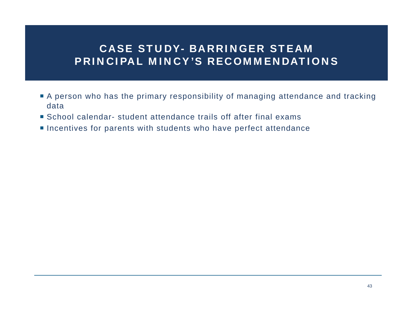### CASE STUDY- BARRINGER STEAM PRINCIPAL MINCY'S RECOMMENDATIONS

- A person who has the primary responsibility of managing attendance and tracking data
- School calendar- student attendance trails off after final exams
- **Incentives for parents with students who have perfect attendance**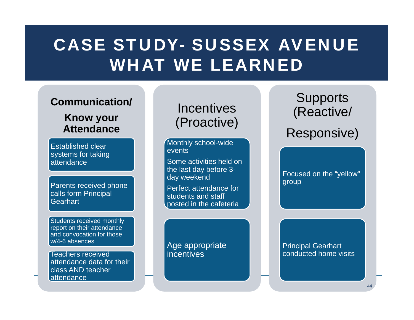## CASE STUDY- SUSSEX AVENUEWHAT WE LEARNED

### **Communication/**

### **Know your Attendance**

Established clear systems for taking attendance

Parents received phone calls form Principal Gearhart

Students received monthly report on their attendance and convocation for those w/4-6 absences

Teachers received attendance data for their class AND teacher attendance

## **Incentives** (Proactive)

Monthly school-wide events

Some activities held on the last day before 3 day weekend

Perfect attendance for students and staff posted in the cafeteria

Age appropriate incentives

**Supports** (Reactive/ Responsive)

Focused on the "yellow" group

**Principal Gearhart** conducted home visits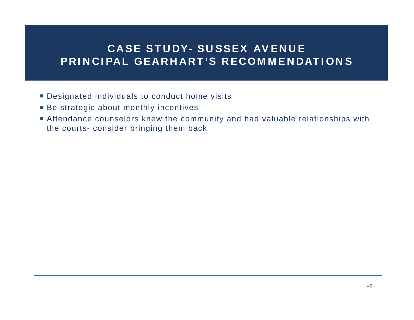### CASE STUDY- SUSSEX AVENUE PRINCIPAL GEARHART'S RECOMMENDATIONS

- Designated individuals to conduct home visits
- Be strategic about monthly incentives
- Attendance counselors knew the community and had valuable relationships with the courts- consider bringing them back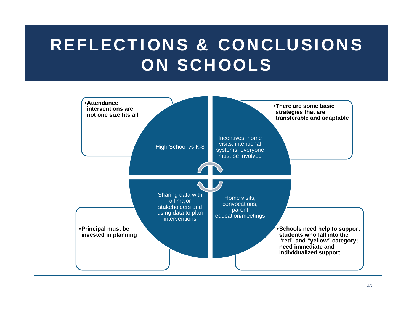## REFLECTIONS & CONCLUSIONS ON SCHOOLS

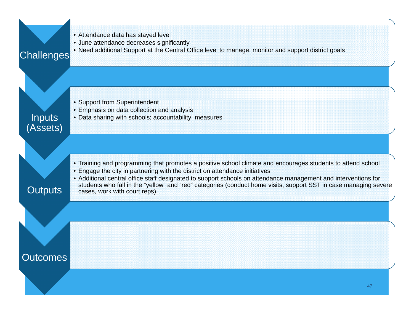| Challenges         | • Attendance data has stayed level<br>• June attendance decreases significantly<br>• Need additional Support at the Central Office level to manage, monitor and support district goals                                                                                                                                                                                                                                                                            |
|--------------------|-------------------------------------------------------------------------------------------------------------------------------------------------------------------------------------------------------------------------------------------------------------------------------------------------------------------------------------------------------------------------------------------------------------------------------------------------------------------|
| Inputs<br>(Assets) | • Support from Superintendent<br>• Emphasis on data collection and analysis<br>• Data sharing with schools; accountability measures                                                                                                                                                                                                                                                                                                                               |
| <b>Outputs</b>     | • Training and programming that promotes a positive school climate and encourages students to attend school<br>• Engage the city in partnering with the district on attendance initiatives<br>• Additional central office staff designated to support schools on attendance management and interventions for<br>students who fall in the "yellow" and "red" categories (conduct home visits, support SST in case managing severe<br>cases, work with court reps). |
| <b>Outcomes</b>    |                                                                                                                                                                                                                                                                                                                                                                                                                                                                   |
|                    | 47                                                                                                                                                                                                                                                                                                                                                                                                                                                                |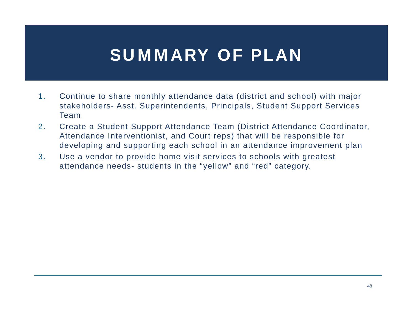## SUMMARY OF PLAN

- 1. Continue to share monthly attendance data (district and school) with major stakeholders- Asst. Superintendents, Principals, Student Support Services Team
- 2. Create a Student Support Attendance Team (District Attendance Coordinator, Attendance Interventionist, and Court reps) that will be responsible for developing and supporting each school in an attendance improvement plan
- 3. Use a vendor to provide home visit services to schools with greatest attendance needs- students in the "yellow" and "red" category.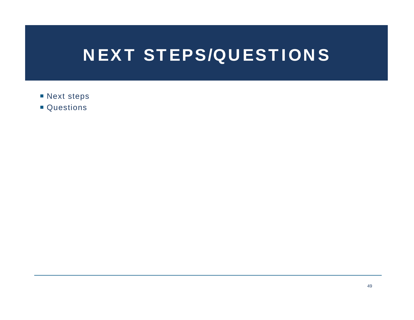## NEXT STEPS/QUESTIONS

- **Next steps**
- Questions